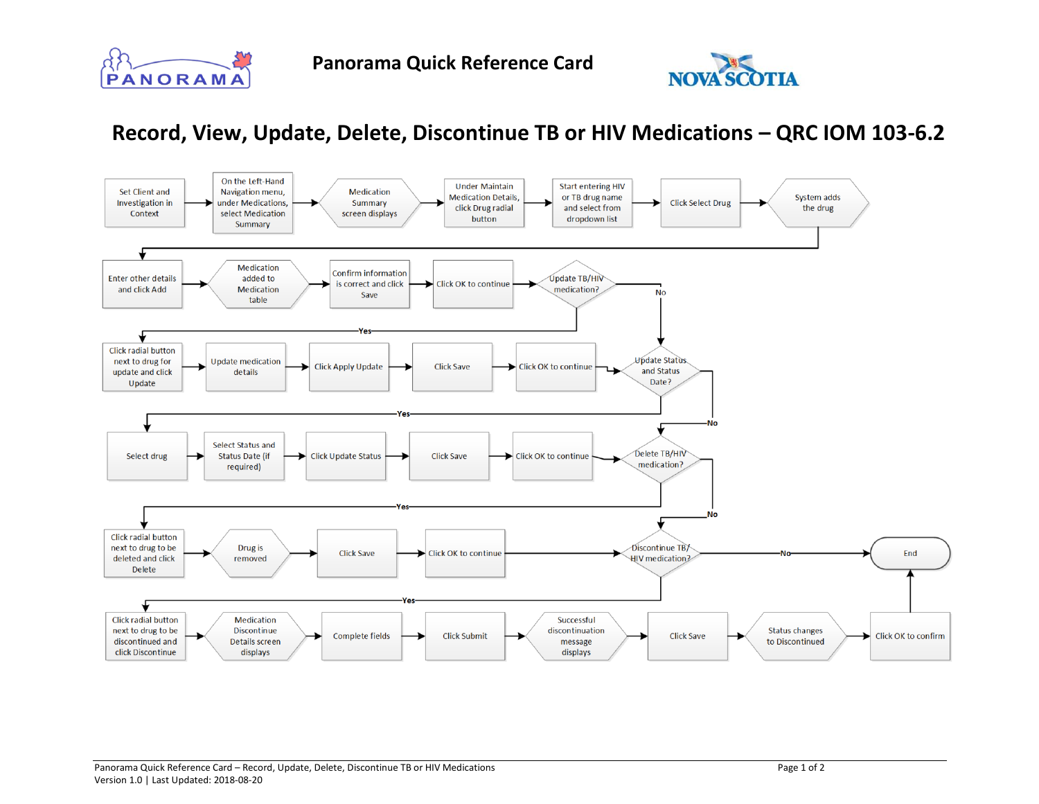



## **Record, View, Update, Delete, Discontinue TB or HIV Medications – QRC IOM 103-6.2**